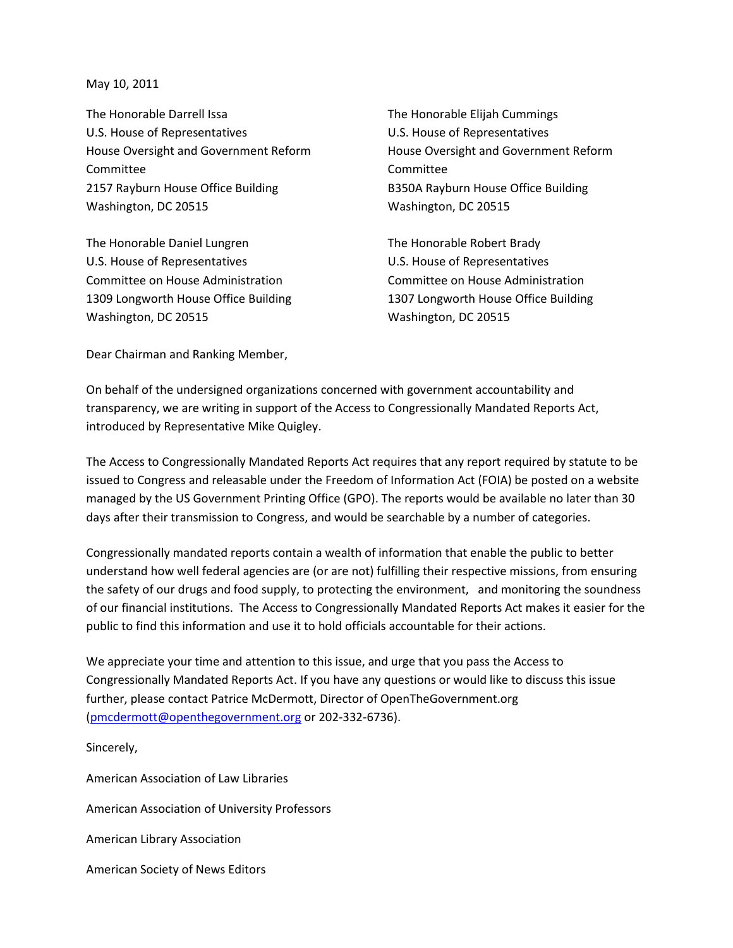May 10, 2011

The Honorable Darrell Issa U.S. House of Representatives House Oversight and Government Reform Committee 2157 Rayburn House Office Building Washington, DC 20515

The Honorable Daniel Lungren U.S. House of Representatives Committee on House Administration 1309 Longworth House Office Building Washington, DC 20515

The Honorable Elijah Cummings U.S. House of Representatives House Oversight and Government Reform Committee B350A Rayburn House Office Building Washington, DC 20515

The Honorable Robert Brady U.S. House of Representatives Committee on House Administration 1307 Longworth House Office Building Washington, DC 20515

Dear Chairman and Ranking Member,

On behalf of the undersigned organizations concerned with government accountability and transparency, we are writing in support of the Access to Congressionally Mandated Reports Act, introduced by Representative Mike Quigley.

The Access to Congressionally Mandated Reports Act requires that any report required by statute to be issued to Congress and releasable under the Freedom of Information Act (FOIA) be posted on a website managed by the US Government Printing Office (GPO). The reports would be available no later than 30 days after their transmission to Congress, and would be searchable by a number of categories.

Congressionally mandated reports contain a wealth of information that enable the public to better understand how well federal agencies are (or are not) fulfilling their respective missions, from ensuring the safety of our drugs and food supply, to protecting the environment, and monitoring the soundness of our financial institutions. The Access to Congressionally Mandated Reports Act makes it easier for the public to find this information and use it to hold officials accountable for their actions.

We appreciate your time and attention to this issue, and urge that you pass the Access to Congressionally Mandated Reports Act. If you have any questions or would like to discuss this issue further, please contact Patrice McDermott, Director of OpenTheGovernment.org [\(pmcdermott@openthegovernment.org](mailto:pmcdermott@openthegovernment.org) or 202-332-6736).

Sincerely, American Association of Law Libraries American Association of University Professors American Library Association American Society of News Editors